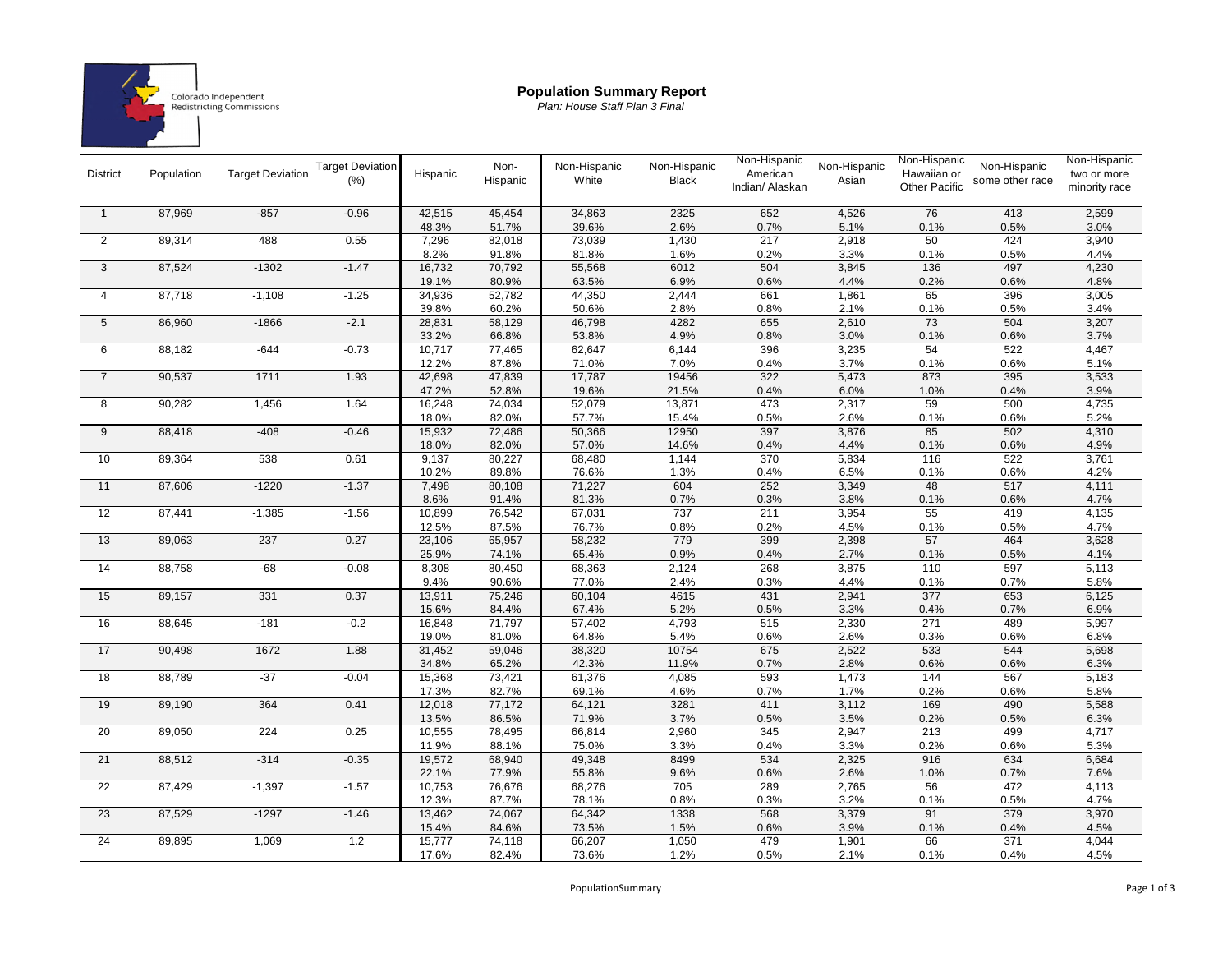

## **Population Summary Report**

*Plan: House Staff Plan 3 Final*

| <b>District</b> | Population | <b>Target Deviation</b> | <b>Target Deviation</b><br>(% ) | Hispanic        | Non-<br>Hispanic | Non-Hispanic<br>White | Non-Hispanic<br><b>Black</b> | Non-Hispanic<br>American<br>Indian/ Alaskan | Non-Hispanic<br>Asian | Non-Hispanic<br>Hawaiian or<br><b>Other Pacific</b> | Non-Hispanic<br>some other race | Non-Hispanic<br>two or more<br>minority race |
|-----------------|------------|-------------------------|---------------------------------|-----------------|------------------|-----------------------|------------------------------|---------------------------------------------|-----------------------|-----------------------------------------------------|---------------------------------|----------------------------------------------|
|                 |            |                         |                                 |                 |                  |                       |                              |                                             |                       |                                                     |                                 |                                              |
| $\overline{1}$  | 87,969     | $-857$                  | $-0.96$                         | 42,515          | 45,454           | 34,863                | 2325                         | 652                                         | 4,526                 | 76                                                  | 413                             | 2,599                                        |
|                 |            |                         |                                 | 48.3%           | 51.7%            | 39.6%                 | 2.6%                         | 0.7%                                        | 5.1%                  | 0.1%                                                | 0.5%                            | 3.0%                                         |
| 2               | 89,314     | 488                     | 0.55                            | 7,296           | 82,018           | 73,039                | 1,430                        | 217                                         | 2,918                 | 50                                                  | 424                             | 3,940                                        |
|                 |            |                         |                                 | 8.2%            | 91.8%            | 81.8%                 | 1.6%                         | 0.2%                                        | 3.3%                  | 0.1%                                                | 0.5%                            | 4.4%                                         |
| 3               | 87,524     | $-1302$                 | $-1.47$                         | 16,732          | 70,792           | 55,568                | 6012                         | 504                                         | 3,845                 | 136                                                 | 497                             | 4,230                                        |
|                 |            |                         |                                 | 19.1%           | 80.9%            | 63.5%                 | 6.9%                         | 0.6%                                        | 4.4%                  | 0.2%                                                | 0.6%                            | 4.8%                                         |
| $\overline{4}$  | 87,718     | $-1,108$                | $-1.25$                         | 34,936          | 52,782           | 44,350                | 2,444                        | 661                                         | 1,861                 | 65                                                  | 396                             | 3,005                                        |
| $\overline{5}$  | 86,960     | $-1866$                 | $-2.1$                          | 39.8%           | 60.2%            | 50.6%<br>46,798       | 2.8%<br>4282                 | 0.8%<br>655                                 | 2.1%<br>2,610         | 0.1%<br>$\overline{73}$                             | 0.5%<br>504                     | 3.4%<br>3,207                                |
|                 |            |                         |                                 | 28,831          | 58,129           |                       |                              |                                             |                       |                                                     |                                 |                                              |
| 6               | 88,182     | $-644$                  | $-0.73$                         | 33.2%<br>10,717 | 66.8%            | 53.8%<br>62,647       | 4.9%<br>6,144                | 0.8%<br>396                                 | 3.0%<br>3,235         | 0.1%<br>54                                          | 0.6%<br>522                     | 3.7%<br>4,467                                |
|                 |            |                         |                                 | 12.2%           | 77,465<br>87.8%  | 71.0%                 | 7.0%                         | 0.4%                                        | 3.7%                  | 0.1%                                                | 0.6%                            | 5.1%                                         |
| $\overline{7}$  | 90,537     | 1711                    | 1.93                            | 42,698          | 47,839           | 17,787                | 19456                        | 322                                         | 5,473                 | 873                                                 | 395                             | 3,533                                        |
|                 |            |                         |                                 | 47.2%           | 52.8%            | 19.6%                 | 21.5%                        | 0.4%                                        | 6.0%                  | 1.0%                                                |                                 | 3.9%                                         |
| 8               | 90,282     | 1,456                   | 1.64                            | 16,248          | 74,034           | 52,079                | 13,871                       | 473                                         | 2,317                 | 59                                                  | 0.4%<br>500                     | 4,735                                        |
|                 |            |                         |                                 | 18.0%           | 82.0%            | 57.7%                 | 15.4%                        | 0.5%                                        | 2.6%                  | 0.1%                                                | 0.6%                            | 5.2%                                         |
| 9               | 88,418     | $-408$                  | $-0.46$                         | 15,932          | 72,486           | 50,366                | 12950                        | 397                                         | 3,876                 | 85                                                  | 502                             | 4,310                                        |
|                 |            |                         |                                 | 18.0%           | 82.0%            | 57.0%                 | 14.6%                        | 0.4%                                        | 4.4%                  | 0.1%                                                | 0.6%                            | 4.9%                                         |
| 10              | 89,364     | 538                     | 0.61                            | 9,137           | 80,227           | 68,480                | 1,144                        | 370                                         | 5,834                 | 116                                                 | 522                             | 3,761                                        |
|                 |            |                         |                                 | 10.2%           | 89.8%            | 76.6%                 | 1.3%                         | 0.4%                                        | 6.5%                  | 0.1%                                                | 0.6%                            | 4.2%                                         |
| 11              | 87,606     | $-1220$                 | $-1.37$                         | 7,498           | 80,108           | 71,227                | 604                          | 252                                         | 3,349                 | 48                                                  | 517                             | 4,111                                        |
|                 |            |                         |                                 | 8.6%            | 91.4%            | 81.3%                 | 0.7%                         | 0.3%                                        | 3.8%                  | 0.1%                                                | 0.6%                            | 4.7%                                         |
| 12              | 87,441     | $-1,385$                | $-1.56$                         | 10,899          | 76,542           | 67,031                | 737                          | 211                                         | 3,954                 | 55                                                  | 419                             | 4,135                                        |
|                 |            |                         |                                 | 12.5%           | 87.5%            | 76.7%                 | 0.8%                         | 0.2%                                        | 4.5%                  | 0.1%                                                | 0.5%                            | 4.7%                                         |
| 13              | 89,063     | 237                     | 0.27                            | 23,106          | 65,957           | 58,232                | 779                          | 399                                         | 2,398                 | 57                                                  | 464                             | 3,628                                        |
|                 |            |                         |                                 | 25.9%           | 74.1%            | 65.4%                 | 0.9%                         | 0.4%                                        | 2.7%                  | 0.1%                                                | 0.5%                            | 4.1%                                         |
| 14              | 88,758     | $-68$                   | $-0.08$                         | 8,308           | 80,450           | 68,363                | 2,124                        | 268                                         | 3,875                 | 110                                                 | 597                             | 5,113                                        |
|                 |            |                         |                                 | 9.4%            | 90.6%            | 77.0%                 | 2.4%                         | 0.3%                                        | 4.4%                  | 0.1%                                                | 0.7%                            | 5.8%                                         |
| 15              | 89,157     | 331                     | 0.37                            | 13,911          | 75,246           | 60,104                | 4615                         | 431                                         | 2,941                 | 377                                                 | 653                             | 6,125                                        |
|                 |            |                         |                                 | 15.6%           | 84.4%            | 67.4%                 | 5.2%                         | 0.5%                                        | 3.3%                  | 0.4%                                                | 0.7%                            | 6.9%                                         |
| 16              | 88,645     | $-181$                  | $-0.2$                          | 16,848          | 71,797           | 57,402                | 4,793                        | 515                                         | 2,330                 | 271                                                 | 489                             | 5,997                                        |
|                 |            |                         |                                 | 19.0%           | 81.0%            | 64.8%                 | 5.4%                         | 0.6%                                        | 2.6%                  | 0.3%                                                | 0.6%                            | 6.8%                                         |
| 17              | 90,498     | 1672                    | 1.88                            | 31,452          | 59,046           | 38,320                | 10754                        | 675                                         | 2,522                 | 533                                                 | 544                             | 5,698                                        |
|                 |            |                         |                                 | 34.8%           | 65.2%            | 42.3%                 | 11.9%                        | 0.7%                                        | 2.8%                  | 0.6%                                                | 0.6%                            | 6.3%                                         |
| $\overline{18}$ | 88,789     | $-37$                   | $-0.04$                         | 15,368          | 73,421           | 61,376                | 4,085                        | 593                                         | 1,473                 | 144                                                 | 567                             | 5,183                                        |
|                 |            |                         |                                 | 17.3%           | 82.7%            | 69.1%                 | 4.6%                         | 0.7%                                        | 1.7%                  | 0.2%                                                | 0.6%                            | 5.8%                                         |
| 19              | 89,190     | 364                     | 0.41                            | 12,018          | 77,172           | 64,121                | 3281                         | 411                                         | 3,112                 | 169                                                 | 490                             | 5,588                                        |
|                 |            |                         |                                 | 13.5%           | 86.5%            | 71.9%                 | 3.7%                         | 0.5%                                        | 3.5%                  | 0.2%                                                | 0.5%                            | 6.3%                                         |
| 20              | 89,050     | 224                     | 0.25                            | 10,555          | 78,495           | 66,814                | 2,960                        | 345                                         | 2,947                 | 213                                                 | 499                             | 4,717                                        |
|                 |            |                         |                                 | 11.9%           | 88.1%            | 75.0%                 | 3.3%                         | 0.4%                                        | 3.3%                  | 0.2%                                                | 0.6%                            | 5.3%                                         |
| 21              | 88,512     | $-314$                  | $-0.35$                         | 19,572          | 68,940           | 49,348                | 8499                         | 534                                         | 2,325                 | 916                                                 | 634                             | 6,684                                        |
|                 |            |                         |                                 | 22.1%           | 77.9%            | 55.8%                 | 9.6%                         | 0.6%                                        | 2.6%                  | 1.0%                                                | 0.7%                            | 7.6%                                         |
| $\overline{22}$ | 87,429     | $-1,397$                | $-1.57$                         | 10,753          | 76,676           | 68,276                | 705                          | 289                                         | 2,765                 | 56                                                  | 472                             | 4,113                                        |
|                 |            |                         |                                 | 12.3%           | 87.7%            | 78.1%                 | 0.8%                         | 0.3%                                        | 3.2%                  | 0.1%                                                | 0.5%                            | 4.7%                                         |
| 23              | 87,529     | $-1297$                 | $-1.46$                         | 13,462          | 74,067           | 64,342                | 1338                         | 568                                         | 3,379                 | 91                                                  | 379                             | 3,970                                        |
|                 |            |                         |                                 | 15.4%           | 84.6%            | 73.5%                 | 1.5%                         | 0.6%                                        | 3.9%                  | 0.1%                                                | 0.4%                            | 4.5%                                         |
| 24              | 89,895     | 1,069                   | 1.2                             | 15,777          | 74,118           | 66,207                | 1,050                        | 479                                         | 1,901                 | 66                                                  | 371                             | 4,044                                        |
|                 |            |                         |                                 | 17.6%           | 82.4%            | 73.6%                 | 1.2%                         | 0.5%                                        | 2.1%                  | 0.1%                                                | 0.4%                            | 4.5%                                         |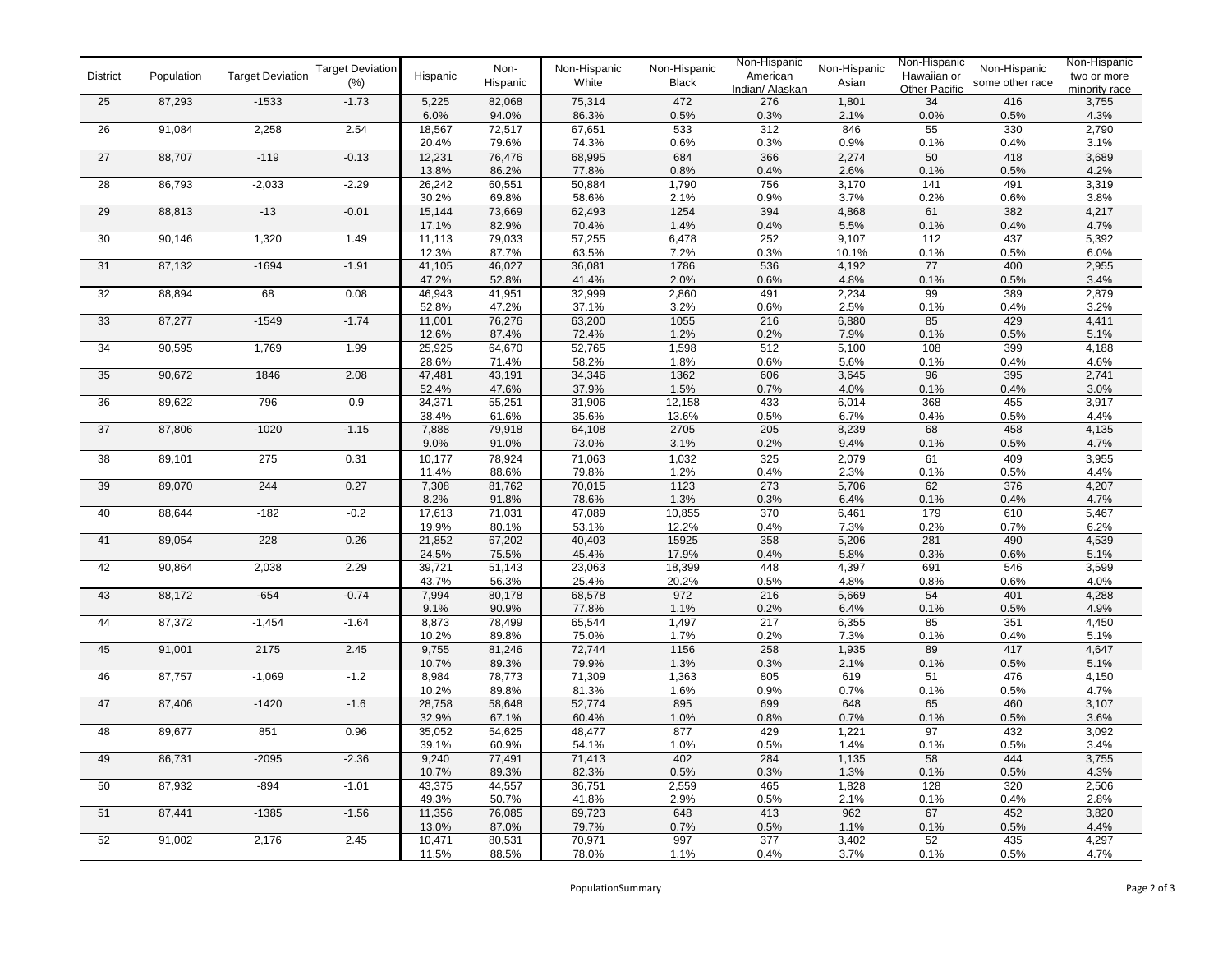| <b>District</b> | Population | <b>Target Deviation</b> | <b>Target Deviation</b><br>$(\% )$ | Hispanic        | Non-<br>Hispanic | Non-Hispanic<br>White | Non-Hispanic<br><b>Black</b> | Non-Hispanic<br>American<br>Indian/ Alaskan | Non-Hispanic<br>Asian | Non-Hispanic<br>Hawaiian or<br>Other Pacific | Non-Hispanic<br>some other race | Non-Hispanic<br>two or more<br>minority race |
|-----------------|------------|-------------------------|------------------------------------|-----------------|------------------|-----------------------|------------------------------|---------------------------------------------|-----------------------|----------------------------------------------|---------------------------------|----------------------------------------------|
| 25              | 87,293     | $-1533$                 | $-1.73$                            | 5,225           | 82,068           | 75,314                | 472                          | 276                                         | 1,801                 | 34                                           | 416                             | 3,755                                        |
|                 |            |                         |                                    | 6.0%            | 94.0%            | 86.3%                 | 0.5%                         | 0.3%                                        | 2.1%                  | 0.0%                                         | 0.5%                            | 4.3%                                         |
| $\overline{26}$ | 91,084     | 2,258                   | 2.54                               | 18,567          | 72,517           | 67,651                | 533                          | 312                                         | 846                   | 55                                           | 330                             | 2,790                                        |
|                 |            |                         |                                    | 20.4%           | 79.6%            | 74.3%                 | 0.6%                         | 0.3%                                        | 0.9%                  | 0.1%                                         | 0.4%                            | 3.1%                                         |
| 27              | 88,707     | $-119$                  | $-0.13$                            | 12,231          | 76,476           | 68,995                | 684                          | 366                                         | 2,274                 | 50                                           | 418                             | 3,689                                        |
|                 |            |                         |                                    | 13.8%           | 86.2%            | 77.8%                 | 0.8%                         | 0.4%                                        | 2.6%                  | 0.1%                                         | 0.5%                            | 4.2%                                         |
| 28              | 86,793     | $-2,033$                | $-2.29$                            | 26,242          | 60,551           | 50,884                | 1,790                        | 756                                         | 3,170                 | 141                                          | 491                             | 3,319                                        |
|                 |            |                         |                                    | 30.2%           | 69.8%            | 58.6%                 | 2.1%                         | 0.9%                                        | 3.7%                  | 0.2%                                         | 0.6%                            | 3.8%<br>4,217                                |
| 29              | 88,813     | $-13$                   | $-0.01$                            | 15,144<br>17.1% | 73,669<br>82.9%  | 62,493                | 1254<br>1.4%                 | 394                                         | 4,868<br>5.5%         | 61<br>0.1%                                   | 382                             |                                              |
| 30              | 90,146     | 1,320                   | 1.49                               | 11,113          | 79,033           | 70.4%<br>57,255       | 6,478                        | 0.4%<br>252                                 | 9,107                 | 112                                          | 0.4%<br>437                     | 4.7%<br>5,392                                |
|                 |            |                         |                                    | 12.3%           | 87.7%            | 63.5%                 | 7.2%                         | 0.3%                                        | 10.1%                 | 0.1%                                         | 0.5%                            | 6.0%                                         |
| 31              | 87,132     | $-1694$                 | $-1.91$                            | 41,105          | 46,027           | 36,081                | 1786                         | 536                                         | 4,192                 | 77                                           | 400                             | 2,955                                        |
|                 |            |                         |                                    | 47.2%           | 52.8%            | 41.4%                 | 2.0%                         | 0.6%                                        | 4.8%                  | 0.1%                                         | 0.5%                            | 3.4%                                         |
| 32              | 88,894     | 68                      | 0.08                               | 46,943          | 41,951           | 32,999                | 2,860                        | 491                                         | 2,234                 | 99                                           | 389                             | 2,879                                        |
|                 |            |                         |                                    | 52.8%           | 47.2%            | 37.1%                 | 3.2%                         | 0.6%                                        | 2.5%                  | 0.1%                                         | 0.4%                            | 3.2%                                         |
| 33              | 87,277     | $-1549$                 | $-1.74$                            | 11,001          | 76,276           | 63,200                | 1055                         | 216                                         | 6,880                 | 85                                           | 429                             | 4,411                                        |
|                 |            |                         |                                    | 12.6%           | 87.4%            | 72.4%                 | 1.2%                         | 0.2%                                        | 7.9%                  | 0.1%                                         | 0.5%                            | 5.1%                                         |
| 34              | 90,595     | 1,769                   | 1.99                               | 25,925          | 64,670           | 52,765                | 1,598                        | 512                                         | 5,100                 | 108                                          | 399                             | 4,188                                        |
|                 |            |                         |                                    | 28.6%           | 71.4%            | 58.2%                 | 1.8%                         | 0.6%                                        | 5.6%                  | 0.1%                                         | 0.4%                            | 4.6%                                         |
| 35              | 90,672     | 1846                    | 2.08                               | 47,481          | 43,191           | 34,346                | 1362                         | 606                                         | 3,645                 | 96                                           | 395                             | 2,741                                        |
|                 |            |                         |                                    | 52.4%           | 47.6%            | 37.9%                 | 1.5%                         | 0.7%                                        | 4.0%                  | 0.1%                                         | 0.4%                            | 3.0%                                         |
| 36              | 89,622     | 796                     | 0.9                                | 34,371          | 55,251           | 31,906                | 12,158                       | 433                                         | 6,014                 | 368                                          | 455                             | 3,917                                        |
|                 |            |                         |                                    | 38.4%           | 61.6%            | 35.6%                 | 13.6%                        | 0.5%                                        | 6.7%                  | 0.4%                                         | 0.5%                            | 4.4%                                         |
| $\overline{37}$ | 87,806     | $-1020$                 | $-1.15$                            | 7,888           | 79,918           | 64,108                | 2705                         | 205                                         | 8,239                 | 68                                           | 458                             | 4,135                                        |
|                 |            |                         |                                    | 9.0%            | 91.0%            | 73.0%                 | 3.1%                         | 0.2%                                        | 9.4%                  | 0.1%                                         | 0.5%                            | 4.7%                                         |
| 38              | 89,101     | 275                     | 0.31                               | 10,177<br>11.4% | 78,924           | 71,063                | 1,032                        | 325                                         | 2,079                 | 61                                           | 409                             | 3,955                                        |
| 39              | 89,070     | 244                     | 0.27                               | 7,308           | 88.6%<br>81,762  | 79.8%<br>70,015       | 1.2%<br>1123                 | 0.4%<br>273                                 | 2.3%<br>5,706         | 0.1%<br>62                                   | 0.5%<br>376                     | 4.4%<br>4,207                                |
|                 |            |                         |                                    | 8.2%            | 91.8%            | 78.6%                 | 1.3%                         | 0.3%                                        | 6.4%                  | 0.1%                                         | 0.4%                            | 4.7%                                         |
| 40              | 88,644     | $-182$                  | $-0.2$                             | 17,613          | 71,031           | 47,089                | 10,855                       | 370                                         | 6,461                 | 179                                          | 610                             | 5,467                                        |
|                 |            |                         |                                    | 19.9%           | 80.1%            | 53.1%                 | 12.2%                        | 0.4%                                        | 7.3%                  | 0.2%                                         | 0.7%                            | 6.2%                                         |
| 41              | 89,054     | 228                     | 0.26                               | 21,852          | 67,202           | 40,403                | 15925                        | 358                                         | 5,206                 | 281                                          | 490                             | 4,539                                        |
|                 |            |                         |                                    | 24.5%           | 75.5%            | 45.4%                 | 17.9%                        | 0.4%                                        | 5.8%                  | 0.3%                                         | 0.6%                            | 5.1%                                         |
| 42              | 90,864     | 2,038                   | 2.29                               | 39,721          | 51,143           | 23,063                | 18,399                       | 448                                         | 4,397                 | 691                                          | 546                             | 3,599                                        |
|                 |            |                         |                                    | 43.7%           | 56.3%            | 25.4%                 | 20.2%                        | 0.5%                                        | 4.8%                  | 0.8%                                         | 0.6%                            | 4.0%                                         |
| $43\,$          | 88,172     | $-654$                  | $-0.74$                            | 7,994           | 80,178           | 68,578                | 972                          | 216                                         | 5,669                 | 54                                           | 401                             | 4,288                                        |
|                 |            |                         |                                    | 9.1%            | 90.9%            | 77.8%                 | 1.1%                         | 0.2%                                        | 6.4%                  | 0.1%                                         | 0.5%                            | 4.9%                                         |
| 44              | 87,372     | $-1,454$                | $-1.64$                            | 8,873           | 78,499           | 65,544                | 1,497                        | 217                                         | 6,355                 | 85                                           | 351                             | 4,450                                        |
|                 |            |                         |                                    | 10.2%           | 89.8%            | 75.0%                 | 1.7%                         | 0.2%                                        | 7.3%                  | 0.1%                                         | 0.4%                            | 5.1%                                         |
| 45              | 91,001     | 2175                    | 2.45                               | 9,755           | 81,246           | 72,744                | 1156                         | 258                                         | 1,935                 | 89                                           | 417                             | 4,647                                        |
|                 |            |                         |                                    | 10.7%           | 89.3%            | 79.9%                 | 1.3%                         | 0.3%                                        | 2.1%                  | 0.1%<br>51                                   | 0.5%                            | 5.1%                                         |
| 46              | 87,757     | $-1,069$                | $-1.2$                             | 8,984<br>10.2%  | 78,773<br>89.8%  | 71,309<br>81.3%       | 1,363<br>1.6%                | 805<br>0.9%                                 | 619<br>0.7%           | 0.1%                                         | 476<br>0.5%                     | 4,150<br>4.7%                                |
| 47              | 87,406     | $-1420$                 | $-1.6$                             | 28,758          | 58,648           | 52,774                | 895                          | 699                                         | 648                   | 65                                           | 460                             | 3,107                                        |
|                 |            |                         |                                    | 32.9%           | 67.1%            | 60.4%                 | 1.0%                         | 0.8%                                        | 0.7%                  | 0.1%                                         | 0.5%                            | 3.6%                                         |
| 48              | 89,677     | 851                     | 0.96                               | 35,052          | 54,625           | 48,477                | 877                          | 429                                         | 1,221                 | 97                                           | 432                             | 3,092                                        |
|                 |            |                         |                                    | 39.1%           | 60.9%            | 54.1%                 | 1.0%                         | 0.5%                                        | 1.4%                  | 0.1%                                         | 0.5%                            | 3.4%                                         |
| 49              | 86,731     | $-2095$                 | $-2.36$                            | 9,240           | 77,491           | 71,413                | 402                          | 284                                         | 1,135                 | 58                                           | 444                             | 3,755                                        |
|                 |            |                         |                                    | 10.7%           | 89.3%            | 82.3%                 | 0.5%                         | 0.3%                                        | 1.3%                  | 0.1%                                         | 0.5%                            | 4.3%                                         |
| 50              | 87,932     | $-894$                  | $-1.01$                            | 43,375          | 44,557           | 36,751                | 2,559                        | 465                                         | 1,828                 | 128                                          | 320                             | 2,506                                        |
|                 |            |                         |                                    | 49.3%           | 50.7%            | 41.8%                 | 2.9%                         | 0.5%                                        | 2.1%                  | 0.1%                                         | 0.4%                            | 2.8%                                         |
| 51              | 87,441     | $-1385$                 | $-1.56$                            | 11,356          | 76,085           | 69,723                | 648                          | 413                                         | 962                   | 67                                           | 452                             | 3,820                                        |
|                 |            |                         |                                    | 13.0%           | 87.0%            | 79.7%                 | 0.7%                         | 0.5%                                        | 1.1%                  | 0.1%                                         | 0.5%                            | 4.4%                                         |
| 52              | 91,002     | 2,176                   | 2.45                               | 10,471          | 80,531           | 70,971                | 997                          | 377                                         | 3,402                 | 52                                           | 435                             | 4,297                                        |
|                 |            |                         |                                    | 11.5%           | 88.5%            | 78.0%                 | 1.1%                         | 0.4%                                        | 3.7%                  | 0.1%                                         | 0.5%                            | 4.7%                                         |